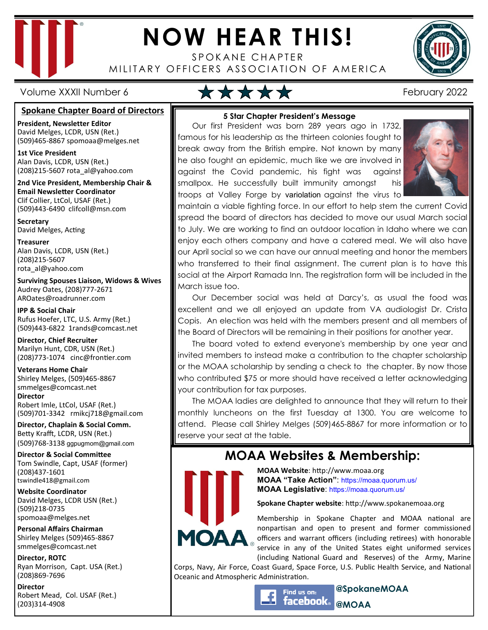

# **NOW HEAR THIS!**

SPOKANE CHAPTER MILITARY OFFICERS ASSOCIATION OF AMERICA



Volume XXXII Number 6 **February 2022** 

#### **Spokane Chapter Board of Directors**

**President, Newsletter Editor**  David Melges, LCDR, USN (Ret.) (509)465-8867 spomoaa@melges.net

**1st Vice President**  Alan Davis, LCDR, USN (Ret.) (208)215-5607 rota\_al@yahoo.com

**2nd Vice President, Membership Chair & Email Newsletter Coordinator** Clif Collier, LtCol, USAF (Ret.) (509)443-6490 clifcoll@msn.com

**Secretary**  David Melges, Acting

**Treasurer**  Alan Davis, LCDR, USN (Ret.) (208)215-5607 rota\_al@yahoo.com

**Surviving Spouses Liaison, Widows & Wives**  Audrey Oates, (208)777-2671 AROates@roadrunner.com

**IPP & Social Chair**  Rufus Hoefer, LTC, U.S. Army (Ret.) (509)443-6822 1rands@comcast.net

**Director, Chief Recruiter**  Marilyn Hunt, CDR, USN (Ret.) (208)773-1074 cinc@frontier.com

**Veterans Home Chair**  Shirley Melges, (509)465-8867 smmelges@comcast.net **Director**  Robert Imle, LtCol, USAF (Ret.) (509)701-3342 rmikcj718@gmail.com

**Director, Chaplain & Social Comm.** Betty Krafft, LCDR, USN (Ret.) (509)768-3138 ggpugmom@gmail.com

**Director & Social Committee** Tom Swindle, Capt, USAF (former) (208)437-1601 tswindle418@gmail.com

**Website Coordinator**  David Melges, LCDR USN (Ret.) (509)218-0735 spomoaa@melges.net

**Personal Affairs Chairman**  Shirley Melges (509)465-8867 smmelges@comcast.net

**Director, ROTC**  Ryan Morrison, Capt. USA (Ret.) (208)869-7696

**Director**  Robert Mead, Col. USAF (Ret.) (203)314-4908

### **5 Star Chapter President's Message**

Our first President was born 289 years ago in 1732, famous for his leadership as the thirteen colonies fought to break away from the British empire. Not known by many he also fought an epidemic, much like we are involved in against the Covid pandemic, his fight was against smallpox. He successfully built immunity amongst his troops at Valley Forge by variolation against the virus to



maintain a viable fighting force. In our effort to help stem the current Covid spread the board of directors has decided to move our usual March social to July. We are working to find an outdoor location in Idaho where we can enjoy each others company and have a catered meal. We will also have our April social so we can have our annual meeting and honor the members who transferred to their final assignment. The current plan is to have this social at the Airport Ramada Inn. The registration form will be included in the March issue too.

Our December social was held at Darcy's, as usual the food was excellent and we all enjoyed an update from VA audiologist Dr. Crista Copis. An election was held with the members present and all members of the Board of Directors will be remaining in their positions for another year.

The board voted to extend everyone's membership by one year and invited members to instead make a contribution to the chapter scholarship or the MOAA scholarship by sending a check to the chapter. By now those who contributed \$75 or more should have received a letter acknowledging your contribution for tax purposes.

The MOAA ladies are delighted to announce that they will return to their monthly luncheons on the first Tuesday at 1300. You are welcome to attend. Please call Shirley Melges (509)465-8867 for more information or to reserve your seat at the table.

## **MOAA Websites & Membership:**



**MOAA Website: http://www.moaa.org MOAA "Take Action"**: https://moaa.quorum.us/ **MOAA Legislative**: https://moaa.quorum.us/

**Spokane Chapter website**: http://www.spokanemoaa.org

Membership in Spokane Chapter and MOAA national are nonpartisan and open to present and former commissioned officers and warrant officers (including retirees) with honorable service in any of the United States eight uniformed services (including National Guard and Reserves) of the Army, Marine

Corps, Navy, Air Force, Coast Guard, Space Force, U.S. Public Health Service, and National Oceanic and Atmospheric Administration.

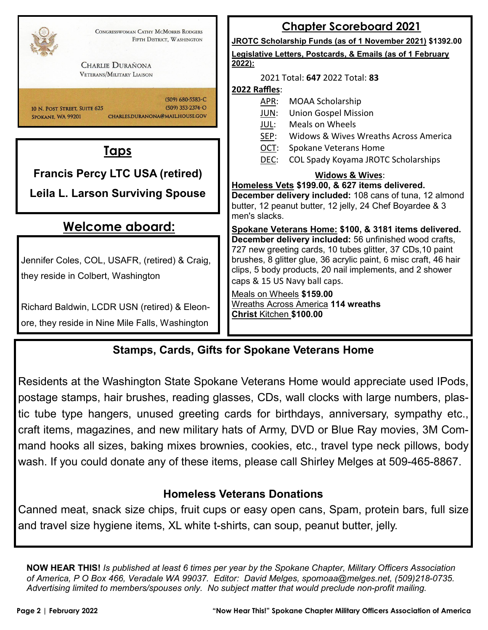| CONGRESSWOMAN CATHY MCMORRIS RODGERS<br>FIFTH DISTRICT, WASHINGTON<br><b>CHARLIE DURAÑONA</b><br><b>VETERANS/MILITARY LIAISON</b> | <b>Chapter Scoreboard 2021</b><br>JROTC Scholarship Funds (as of 1 November 2021) \$1392.00<br>Legislative Letters, Postcards, & Emails (as of 1 February<br>$2022$ :<br>2021 Total: 647 2022 Total: 83                                                                                                                                                                                  |  |  |
|-----------------------------------------------------------------------------------------------------------------------------------|------------------------------------------------------------------------------------------------------------------------------------------------------------------------------------------------------------------------------------------------------------------------------------------------------------------------------------------------------------------------------------------|--|--|
| $(509)$ 680-5583-C<br>$(509)$ 353-2374-O<br>10 N. POST STREET, SUITE 625<br>CHARLES.DURANONA@MAIL.HOUSE.GOV<br>SPOKANE, WA 99201  | 2022 Raffles:<br><b>MOAA Scholarship</b><br><u>APR:</u><br><b>Union Gospel Mission</b><br>JUN:<br>Meals on Wheels<br>JUL:<br>SEP:<br>Widows & Wives Wreaths Across America                                                                                                                                                                                                               |  |  |
| <u>Taps</u>                                                                                                                       | OCT:<br>Spokane Veterans Home<br>DEC:<br>COL Spady Koyama JROTC Scholarships                                                                                                                                                                                                                                                                                                             |  |  |
| <b>Francis Percy LTC USA (retired)</b>                                                                                            | <b>Widows &amp; Wives:</b>                                                                                                                                                                                                                                                                                                                                                               |  |  |
| <b>Leila L. Larson Surviving Spouse</b>                                                                                           | Homeless Vets \$199.00, & 627 items delivered.<br>December delivery included: 108 cans of tuna, 12 almond<br>butter, 12 peanut butter, 12 jelly, 24 Chef Boyardee & 3                                                                                                                                                                                                                    |  |  |
| <u>Welcome aboard:</u>                                                                                                            | men's slacks.<br>Spokane Veterans Home: \$100, & 3181 items delivered.                                                                                                                                                                                                                                                                                                                   |  |  |
| Jennifer Coles, COL, USAFR, (retired) & Craig,<br>they reside in Colbert, Washington                                              | December delivery included: 56 unfinished wood crafts,<br>727 new greeting cards, 10 tubes glitter, 37 CDs, 10 paint<br>brushes, 8 glitter glue, 36 acrylic paint, 6 misc craft, 46 hair<br>clips, 5 body products, 20 nail implements, and 2 shower<br>caps & 15 US Navy ball caps.<br>Meals on Wheels \$159.00<br><b>Wreaths Across America 114 wreaths</b><br>Christ Kitchen \$100.00 |  |  |
| Richard Baldwin, LCDR USN (retired) & Eleon-<br>ore, they reside in Nine Mile Falls, Washington                                   |                                                                                                                                                                                                                                                                                                                                                                                          |  |  |

## **Stamps, Cards, Gifts for Spokane Veterans Home**

Residents at the Washington State Spokane Veterans Home would appreciate used IPods, postage stamps, hair brushes, reading glasses, CDs, wall clocks with large numbers, plastic tube type hangers, unused greeting cards for birthdays, anniversary, sympathy etc., craft items, magazines, and new military hats of Army, DVD or Blue Ray movies, 3M Command hooks all sizes, baking mixes brownies, cookies, etc., travel type neck pillows, body wash. If you could donate any of these items, please call Shirley Melges at 509-465-8867.

## **Homeless Veterans Donations**

Canned meat, snack size chips, fruit cups or easy open cans, Spam, protein bars, full size and travel size hygiene items, XL white t-shirts, can soup, peanut butter, jelly.

**NOW HEAR THIS!** *Is published at least 6 times per year by the Spokane Chapter, Military Officers Association of America, P O Box 466, Veradale WA 99037. Editor: David Melges, spomoaa@melges.net, (509)218-0735. Advertising limited to members/spouses only. No subject matter that would preclude non-profit mailing.*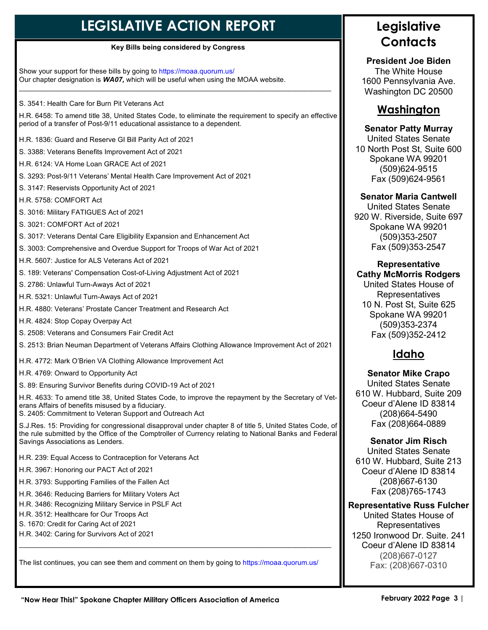## **LEGISLATIVE ACTION REPORT**

#### **Key Bills being considered by Congress**

Show your support for these bills by going to https://moaa.quorum.us/ Our chapter designation is *WA07,* which will be useful when using the MOAA website.  $\_$  , and the set of the set of the set of the set of the set of the set of the set of the set of the set of the set of the set of the set of the set of the set of the set of the set of the set of the set of the set of th

S. 3541: Health Care for Burn Pit Veterans Act

H.R. 6458: To amend title 38, United States Code, to eliminate the requirement to specify an effective period of a transfer of Post-9/11 educational assistance to a dependent.

H.R. 1836: Guard and Reserve GI Bill Parity Act of 2021

S. 3388: Veterans Benefits Improvement Act of 2021

H.R. 6124: VA Home Loan GRACE Act of 2021

S. 3293: Post-9/11 Veterans' Mental Health Care Improvement Act of 2021

S. 3147: Reservists Opportunity Act of 2021

H.R. 5758: COMFORT Act

S. 3016: Military FATIGUES Act of 2021

S. 3021: COMFORT Act of 2021

S. 3017: Veterans Dental Care Eligibility Expansion and Enhancement Act

S. 3003: Comprehensive and Overdue Support for Troops of War Act of 2021

H.R. 5607: Justice for ALS Veterans Act of 2021

S. 189: Veterans' Compensation Cost-of-Living Adjustment Act of 2021

S. 2786: Unlawful Turn-Aways Act of 2021

H.R. 5321: Unlawful Turn-Aways Act of 2021

H.R. 4880: Veterans' Prostate Cancer Treatment and Research Act

H.R. 4824: Stop Copay Overpay Act

S. 2508: Veterans and Consumers Fair Credit Act

S. 2513: Brian Neuman Department of Veterans Affairs Clothing Allowance Improvement Act of 2021

H.R. 4772: Mark O'Brien VA Clothing Allowance Improvement Act

H.R. 4769: Onward to Opportunity Act

S. 89: Ensuring Survivor Benefits during COVID-19 Act of 2021

H.R. 4633: To amend title 38, United States Code, to improve the repayment by the Secretary of Veterans Affairs of benefits misused by a fiduciary.

S. 2405: Commitment to Veteran Support and Outreach Act

S.J.Res. 15: Providing for congressional disapproval under chapter 8 of title 5, United States Code, of the rule submitted by the Office of the Comptroller of Currency relating to National Banks and Federal Savings Associations as Lenders.

H.R. 239: Equal Access to Contraception for Veterans Act

H.R. 3967: Honoring our PACT Act of 2021

H.R. 3793: Supporting Families of the Fallen Act

H.R. 3646: Reducing Barriers for Military Voters Act

H.R. 3486: Recognizing Military Service in PSLF Act

H.R. 3512: Healthcare for Our Troops Act

S. 1670: Credit for Caring Act of 2021

H.R. 3402: Caring for Survivors Act of 2021

The list continues, you can see them and comment on them by going to https://moaa.quorum.us/

 $\_$  , and the set of the set of the set of the set of the set of the set of the set of the set of the set of the set of the set of the set of the set of the set of the set of the set of the set of the set of the set of th

## **Legislative Contacts**

**President Joe Biden**  The White House 1600 Pennsylvania Ave. Washington DC 20500

### **Washington**

#### **Senator Patty Murray**

United States Senate 10 North Post St, Suite 600 Spokane WA 99201 (509)624-9515 Fax (509)624-9561

#### **Senator Maria Cantwell**

United States Senate 920 W. Riverside, Suite 697 Spokane WA 99201 (509)353-2507 Fax (509)353-2547

#### **Representative Cathy McMorris Rodgers**

United States House of Representatives 10 N. Post St, Suite 625 Spokane WA 99201 (509)353-2374 Fax (509)352-2412

## **Idaho**

**Senator Mike Crapo** United States Senate 610 W. Hubbard, Suite 209 Coeur d'Alene ID 83814 (208)664-5490 Fax (208)664-0889

**Senator Jim Risch** 

United States Senate 610 W. Hubbard, Suite 213 Coeur d'Alene ID 83814 (208)667-6130 Fax (208)765-1743

#### **Representative Russ Fulcher**

United States House of Representatives 1250 Ironwood Dr. Suite. 241 Coeur d'Alene ID 83814 (208)667-0127 Fax: (208)667-0310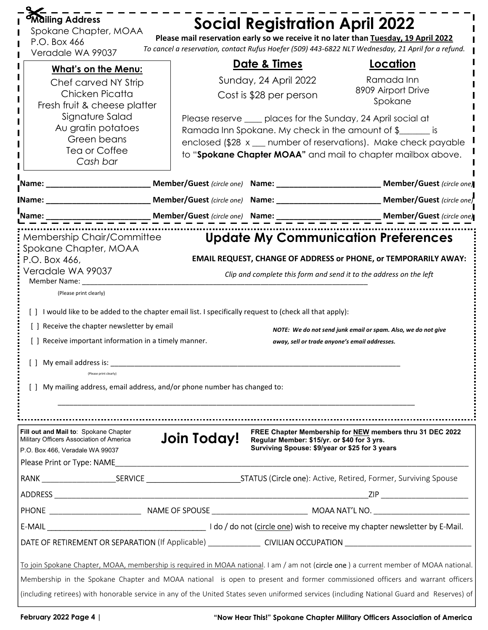| <b>Mailing Address</b><br>Spokane Chapter, MOAA<br>P.O. Box 466<br>Veradale WA 99037                                                                                                                                                                                                                                                                                                                                                                       |             | <b>Social Registration April 2022</b>                                                         | Please mail reservation early so we receive it no later than Tuesday, 19 April 2022<br>To cancel a reservation, contact Rufus Hoefer (509) 443-6822 NLT Wednesday, 21 April for a refund.                                                                          |
|------------------------------------------------------------------------------------------------------------------------------------------------------------------------------------------------------------------------------------------------------------------------------------------------------------------------------------------------------------------------------------------------------------------------------------------------------------|-------------|-----------------------------------------------------------------------------------------------|--------------------------------------------------------------------------------------------------------------------------------------------------------------------------------------------------------------------------------------------------------------------|
| <b>What's on the Menu:</b>                                                                                                                                                                                                                                                                                                                                                                                                                                 |             | <u>Date &amp; Times</u>                                                                       | <u>Location</u>                                                                                                                                                                                                                                                    |
| Chef carved NY Strip<br>Chicken Picatta<br>Fresh fruit & cheese platter                                                                                                                                                                                                                                                                                                                                                                                    |             | Sunday, 24 April 2022<br>Cost is \$28 per person                                              | Ramada Inn<br>8909 Airport Drive<br>Spokane                                                                                                                                                                                                                        |
| Signature Salad<br>Au gratin potatoes<br>Green beans<br>Tea or Coffee<br>Cash bar                                                                                                                                                                                                                                                                                                                                                                          |             |                                                                                               | Please reserve ____ places for the Sunday, 24 April social at<br>Ramada Inn Spokane. My check in the amount of $\frac{1}{2}$ is<br>enclosed (\$28 x __ number of reservations). Make check payable<br>to "Spokane Chapter MOAA" and mail to chapter mailbox above. |
| _Name: __________________________                                                                                                                                                                                                                                                                                                                                                                                                                          |             |                                                                                               | Member/Guest (circle one) Name: __________________________ Member/Guest (circle one)                                                                                                                                                                               |
| <b>IName: Example 2008</b>                                                                                                                                                                                                                                                                                                                                                                                                                                 |             |                                                                                               | Member/Guest (circle one) Name: ___________________________ Member/Guest (circle one)                                                                                                                                                                              |
| Name:                                                                                                                                                                                                                                                                                                                                                                                                                                                      |             |                                                                                               |                                                                                                                                                                                                                                                                    |
| Spokane Chapter, MOAA<br>P.O. Box 466,<br>Veradale WA 99037<br>Member Name:<br>(Please print clearly)<br>[ ] I would like to be added to the chapter email list. I specifically request to (check all that apply):<br>[] Receive the chapter newsletter by email<br>[ ] Receive important information in a timely manner.<br>  My email address is:<br>(Please print clearly)<br>[] My mailing address, email address, and/or phone number has changed to: |             | away, sell or trade anyone's email addresses.                                                 | <b>EMAIL REQUEST, CHANGE OF ADDRESS or PHONE, or TEMPORARILY AWAY:</b><br>Clip and complete this form and send it to the address on the left<br>NOTE: We do not send junk email or spam. Also, we do not give                                                      |
| Fill out and Mail to: Spokane Chapter<br>Military Officers Association of America<br>P.O. Box 466, Veradale WA 99037<br>Please Print or Type: NAME                                                                                                                                                                                                                                                                                                         | Join Today! | Regular Member: \$15/yr. or \$40 for 3 yrs.<br>Surviving Spouse: \$9/year or \$25 for 3 years | FREE Chapter Membership for NEW members thru 31 DEC 2022                                                                                                                                                                                                           |
|                                                                                                                                                                                                                                                                                                                                                                                                                                                            |             |                                                                                               |                                                                                                                                                                                                                                                                    |
|                                                                                                                                                                                                                                                                                                                                                                                                                                                            |             |                                                                                               |                                                                                                                                                                                                                                                                    |
|                                                                                                                                                                                                                                                                                                                                                                                                                                                            |             |                                                                                               |                                                                                                                                                                                                                                                                    |
|                                                                                                                                                                                                                                                                                                                                                                                                                                                            |             |                                                                                               |                                                                                                                                                                                                                                                                    |
|                                                                                                                                                                                                                                                                                                                                                                                                                                                            |             |                                                                                               |                                                                                                                                                                                                                                                                    |
| To join Spokane Chapter, MOAA, membership is required in MOAA national. I am / am not (circle one) a current member of MOAA national.<br>Membership in the Spokane Chapter and MOAA national is open to present and former commissioned officers and warrant officers<br>(including retirees) with honorable service in any of the United States seven uniformed services (including National Guard and Reserves) of                                       |             |                                                                                               |                                                                                                                                                                                                                                                                    |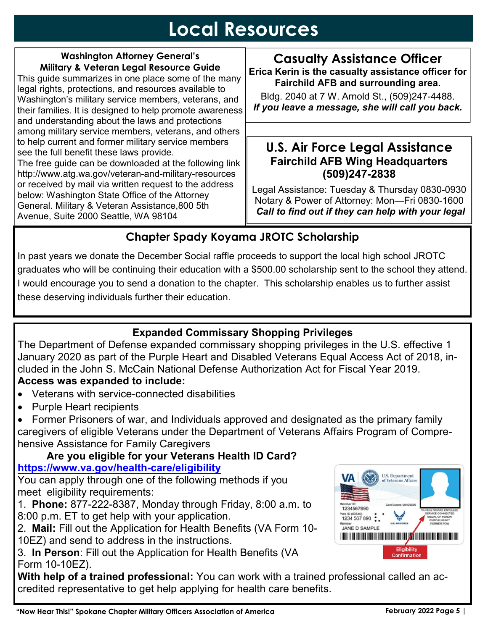## **Local Resources**

### **Washington Attorney General's Military & Veteran Legal Resource Guide**  This guide summarizes in one place some of the many

legal rights, protections, and resources available to Washington's military service members, veterans, and their families. It is designed to help promote awareness and understanding about the laws and protections among military service members, veterans, and others to help current and former military service members see the full benefit these laws provide.

The free guide can be downloaded at the following link http://www.atg.wa.gov/veteran-and-military-resources or received by mail via written request to the address below: Washington State Office of the Attorney General. Military & Veteran Assistance,800 5th Avenue, Suite 2000 Seattle, WA 98104

## **Casualty Assistance Officer Erica Kerin is the casualty assistance officer for Fairchild AFB and surrounding area.**

Bldg. 2040 at 7 W. Arnold St., (509)247-4488. *If you leave a message, she will call you back.* 

## **U.S. Air Force Legal Assistance Fairchild AFB Wing Headquarters (509)247-2838**

Legal Assistance: Tuesday & Thursday 0830-0930 Notary & Power of Attorney: Mon—Fri 0830-1600  *Call to find out if they can help with your legal* 

## **Chapter Spady Koyama JROTC Scholarship**

In past years we donate the December Social raffle proceeds to support the local high school JROTC graduates who will be continuing their education with a \$500.00 scholarship sent to the school they attend. I would encourage you to send a donation to the chapter. This scholarship enables us to further assist these deserving individuals further their education.

## **Expanded Commissary Shopping Privileges**

The Department of Defense expanded commissary shopping privileges in the U.S. effective 1 January 2020 as part of the Purple Heart and Disabled Veterans Equal Access Act of 2018, included in the John S. McCain National Defense Authorization Act for Fiscal Year 2019. **Access was expanded to include:**

- Veterans with service-connected disabilities
- Purple Heart recipients

• Former Prisoners of war, and Individuals approved and designated as the primary family caregivers of eligible Veterans under the Department of Veterans Affairs Program of Comprehensive Assistance for Family Caregivers

## **Are you eligible for your Veterans Health ID Card? https://www.va.gov/health-care/eligibility**

You can apply through one of the following methods if you meet eligibility requirements:

1. **Phone:** 877-222-8387, Monday through Friday, 8:00 a.m. to 8:00 p.m. ET to get help with your application.

2. **Mail:** Fill out the Application for Health Benefits (VA Form 10- 10EZ) and send to address in the instructions.

3. **In Person**: Fill out the Application for Health Benefits (VA Form 10-10EZ).

**With help of a trained professional:** You can work with a trained professional called an accredited representative to get help applying for health care benefits.